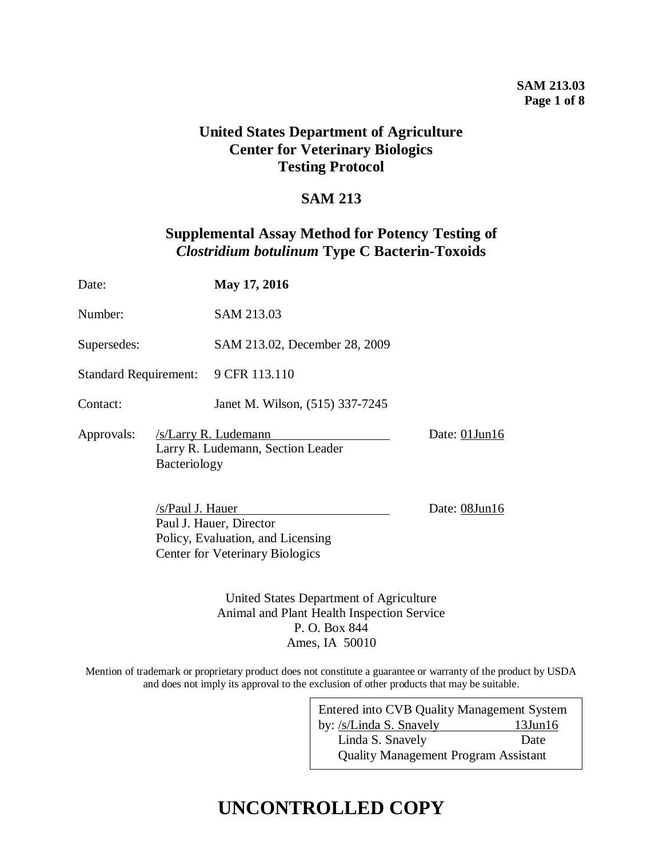#### **SAM 213.03 Page 1 of 8**

# **United States Department of Agriculture Center for Veterinary Biologics Testing Protocol**

# **SAM 213**

# **Supplemental Assay Method for Potency Testing of**  *Clostridium botulinum* **Type C Bacterin-Toxoids**

| Date:                             |                  | May 17, 2016                                                                                           |               |
|-----------------------------------|------------------|--------------------------------------------------------------------------------------------------------|---------------|
| Number:                           |                  | SAM 213.03                                                                                             |               |
| Supersedes:                       |                  | SAM 213.02, December 28, 2009                                                                          |               |
| <b>Standard Requirement:</b>      |                  | 9 CFR 113.110                                                                                          |               |
| Contact:                          |                  | Janet M. Wilson, (515) 337-7245                                                                        |               |
| Approvals:<br><b>Bacteriology</b> |                  | /s/Larry R. Ludemann<br>Larry R. Ludemann, Section Leader                                              | Date: 01Jun16 |
|                                   | /s/Paul J. Hauer | Paul J. Hauer, Director<br>Policy, Evaluation, and Licensing<br><b>Center for Veterinary Biologics</b> | Date: 08Jun16 |

United States Department of Agriculture Animal and Plant Health Inspection Service P. O. Box 844 Ames, IA 50010

Mention of trademark or proprietary product does not constitute a guarantee or warranty of the product by USDA and does not imply its approval to the exclusion of other products that may be suitable.

 $\mathbf{r}$ 

| Entered into CVB Quality Management System  |               |  |  |  |
|---------------------------------------------|---------------|--|--|--|
| by: /s/Linda S. Snavely                     | $13$ Jun $16$ |  |  |  |
| Linda S. Snavely                            | Date          |  |  |  |
| <b>Quality Management Program Assistant</b> |               |  |  |  |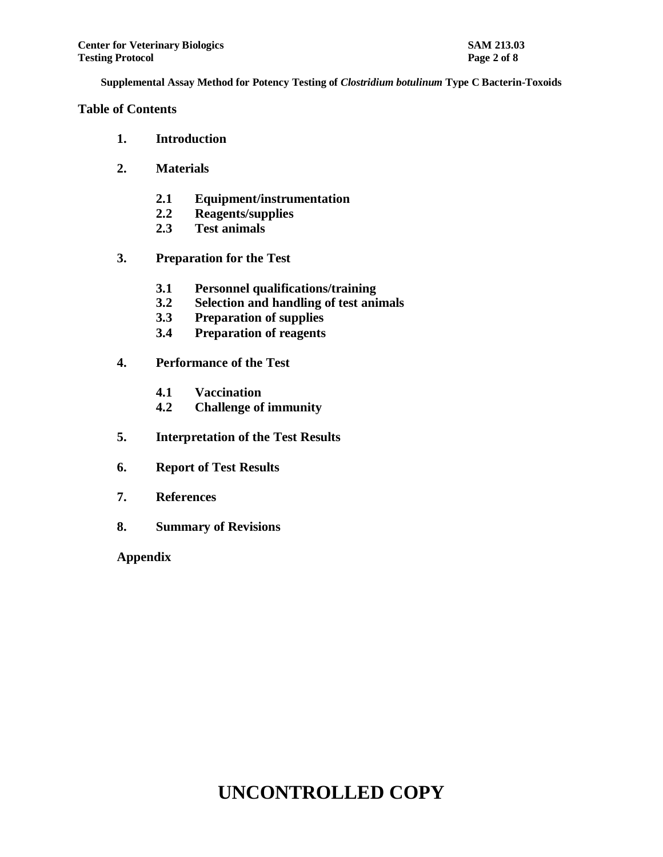#### **Table of Contents**

- **1. Introduction**
- **2. Materials**
	- **2.1 Equipment/instrumentation**
	- **2.2 Reagents/supplies**
	- **2.3 Test animals**
- **3. Preparation for the Test**
	- **3.1 Personnel qualifications/training**
	- **3.2 Selection and handling of test animals**
	- **3.3 Preparation of supplies**
	- **3.4 Preparation of reagents**
- **4. Performance of the Test**
	- **4.1 Vaccination**
	- **4.2 Challenge of immunity**
- **5. Interpretation of the Test Results**
- **6. Report of Test Results**
- **7. References**
- **8. Summary of Revisions**

**Appendix**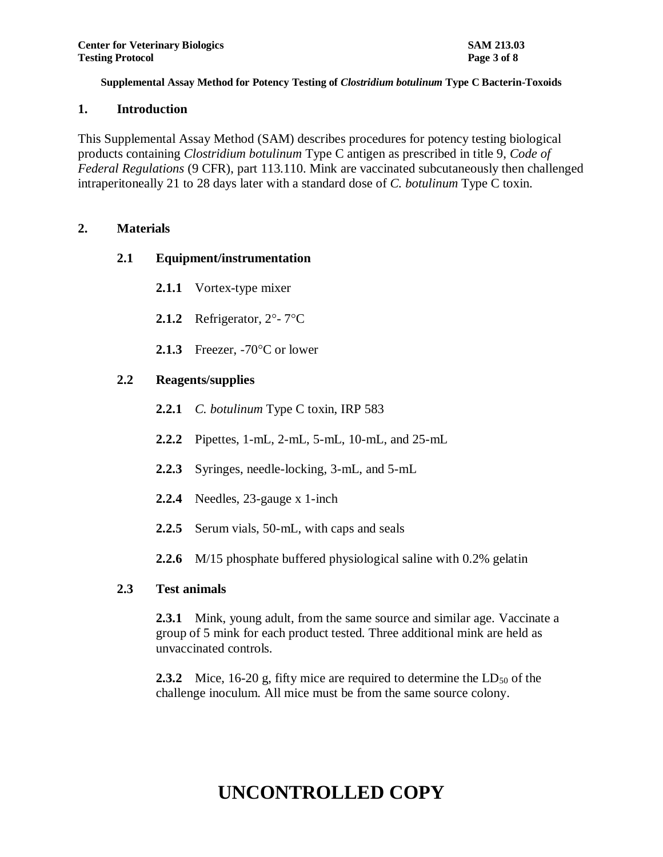#### **1. Introduction**

This Supplemental Assay Method (SAM) describes procedures for potency testing biological products containing *Clostridium botulinum* Type C antigen as prescribed in title 9, *Code of Federal Regulations* (9 CFR), part 113.110. Mink are vaccinated subcutaneously then challenged intraperitoneally 21 to 28 days later with a standard dose of *C. botulinum* Type C toxin.

## **2. Materials**

## **2.1 Equipment/instrumentation**

- **2.1.1** Vortex-type mixer
- **2.1.2** Refrigerator,  $2^{\circ}$   $7^{\circ}$ C
- **2.1.3** Freezer,  $-70^{\circ}$ C or lower

## **2.2 Reagents/supplies**

- **2.2.1** *C. botulinum* Type C toxin, IRP 583
- **2.2.2** Pipettes, 1-mL, 2-mL, 5-mL, 10-mL, and 25-mL
- **2.2.3** Syringes, needle-locking, 3-mL, and 5-mL
- **2.2.4** Needles, 23-gauge x 1-inch
- **2.2.5** Serum vials, 50-mL, with caps and seals
- **2.2.6** M/15 phosphate buffered physiological saline with 0.2% gelatin

## **2.3 Test animals**

**2.3.1** Mink, young adult, from the same source and similar age. Vaccinate a group of 5 mink for each product tested. Three additional mink are held as unvaccinated controls.

**2.3.2** Mice, 16-20 g, fifty mice are required to determine the LD<sub>50</sub> of the challenge inoculum. All mice must be from the same source colony.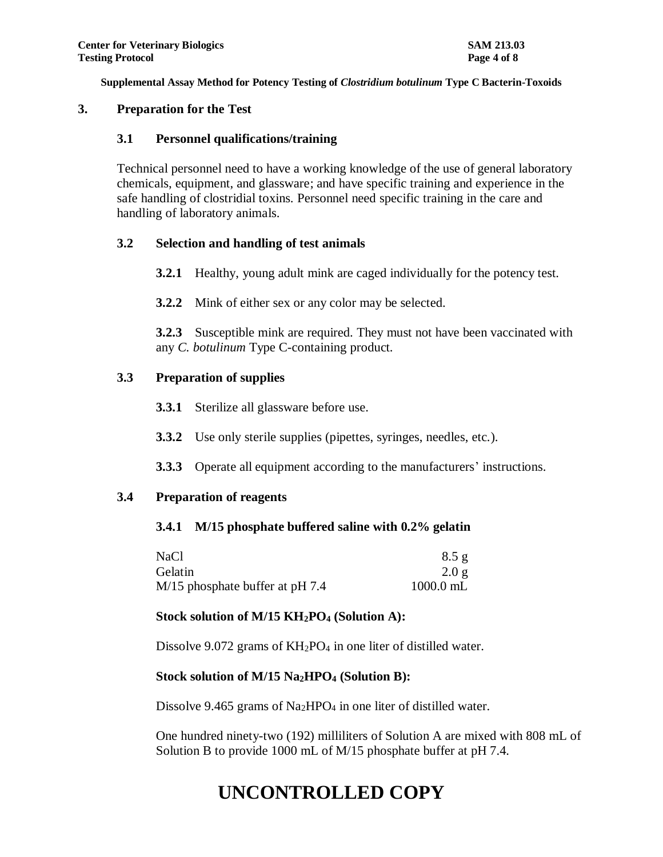#### **3. Preparation for the Test**

#### **3.1 Personnel qualifications/training**

Technical personnel need to have a working knowledge of the use of general laboratory chemicals, equipment, and glassware; and have specific training and experience in the safe handling of clostridial toxins. Personnel need specific training in the care and handling of laboratory animals.

## **3.2 Selection and handling of test animals**

- **3.2.1** Healthy, young adult mink are caged individually for the potency test.
- **3.2.2** Mink of either sex or any color may be selected.

**3.2.3** Susceptible mink are required. They must not have been vaccinated with any *C. botulinum* Type C-containing product.

## **3.3 Preparation of supplies**

- **3.3.1** Sterilize all glassware before use.
- **3.3.2** Use only sterile supplies (pipettes, syringes, needles, etc.).
- **3.3.3** Operate all equipment according to the manufacturers' instructions.

## **3.4 Preparation of reagents**

#### **3.4.1 M/15 phosphate buffered saline with 0.2% gelatin**

| NaCl                              | 8.5 g       |
|-----------------------------------|-------------|
| Gelatin                           | 2.0 g       |
| $M/15$ phosphate buffer at pH 7.4 | $1000.0$ mL |

## **Stock solution of M/15 KH2PO<sup>4</sup> (Solution A):**

Dissolve 9.072 grams of  $KH_2PO_4$  in one liter of distilled water.

## **Stock solution of M/15 Na2HPO<sup>4</sup> (Solution B):**

Dissolve 9.465 grams of  $Na<sub>2</sub>HPO<sub>4</sub>$  in one liter of distilled water.

One hundred ninety-two (192) milliliters of Solution A are mixed with 808 mL of Solution B to provide 1000 mL of M/15 phosphate buffer at pH 7.4.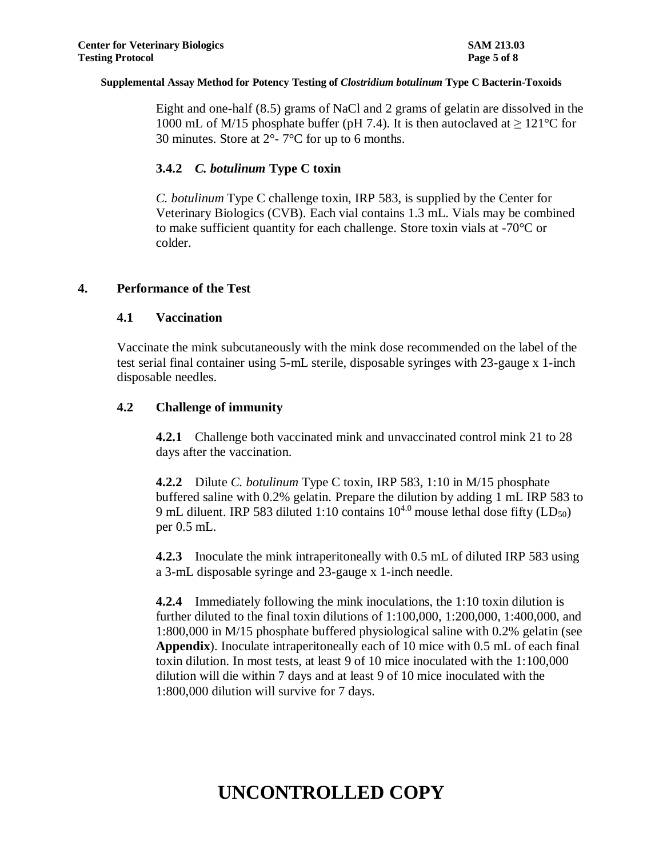Eight and one-half (8.5) grams of NaCl and 2 grams of gelatin are dissolved in the 1000 mL of M/15 phosphate buffer (pH 7.4). It is then autoclaved at  $\geq 121^{\circ}$ C for 30 minutes. Store at  $2^{\circ}$ -  $7^{\circ}$ C for up to 6 months.

#### **3.4.2** *C. botulinum* **Type C toxin**

*C. botulinum* Type C challenge toxin, IRP 583, is supplied by the Center for Veterinary Biologics (CVB). Each vial contains 1.3 mL. Vials may be combined to make sufficient quantity for each challenge. Store toxin vials at -70°C or colder.

#### **4. Performance of the Test**

#### **4.1 Vaccination**

Vaccinate the mink subcutaneously with the mink dose recommended on the label of the test serial final container using 5-mL sterile, disposable syringes with 23-gauge x 1-inch disposable needles.

## **4.2 Challenge of immunity**

**4.2.1** Challenge both vaccinated mink and unvaccinated control mink 21 to 28 days after the vaccination.

**4.2.2** Dilute *C. botulinum* Type C toxin, IRP 583, 1:10 in M/15 phosphate buffered saline with 0.2% gelatin. Prepare the dilution by adding 1 mL IRP 583 to 9 mL diluent. IRP 583 diluted 1:10 contains  $10^{4.0}$  mouse lethal dose fifty (LD<sub>50</sub>) per 0.5 mL.

**4.2.3** Inoculate the mink intraperitoneally with 0.5 mL of diluted IRP 583 using a 3-mL disposable syringe and 23-gauge x 1-inch needle.

**4.2.4** Immediately following the mink inoculations, the 1:10 toxin dilution is further diluted to the final toxin dilutions of 1:100,000, 1:200,000, 1:400,000, and 1:800,000 in M/15 phosphate buffered physiological saline with 0.2% gelatin (see **Appendix**). Inoculate intraperitoneally each of 10 mice with 0.5 mL of each final toxin dilution. In most tests, at least 9 of 10 mice inoculated with the 1:100,000 dilution will die within 7 days and at least 9 of 10 mice inoculated with the 1:800,000 dilution will survive for 7 days.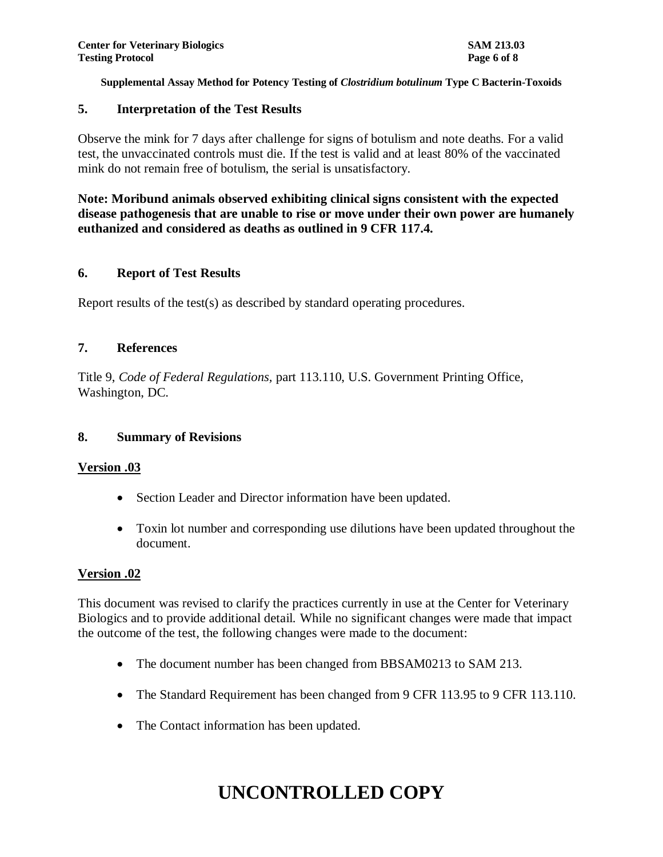#### **5. Interpretation of the Test Results**

Observe the mink for 7 days after challenge for signs of botulism and note deaths. For a valid test, the unvaccinated controls must die. If the test is valid and at least 80% of the vaccinated mink do not remain free of botulism, the serial is unsatisfactory.

**Note: Moribund animals observed exhibiting clinical signs consistent with the expected disease pathogenesis that are unable to rise or move under their own power are humanely euthanized and considered as deaths as outlined in 9 CFR 117.4.**

#### **6. Report of Test Results**

Report results of the test(s) as described by standard operating procedures.

#### **7. References**

Title 9, *Code of Federal Regulations,* part 113.110, U.S. Government Printing Office, Washington, DC.

#### **8. Summary of Revisions**

#### **Version .03**

- Section Leader and Director information have been updated.
- Toxin lot number and corresponding use dilutions have been updated throughout the document.

#### **Version .02**

This document was revised to clarify the practices currently in use at the Center for Veterinary Biologics and to provide additional detail. While no significant changes were made that impact the outcome of the test, the following changes were made to the document:

- The document number has been changed from BBSAM0213 to SAM 213.
- The Standard Requirement has been changed from 9 CFR 113.95 to 9 CFR 113.110.
- The Contact information has been updated.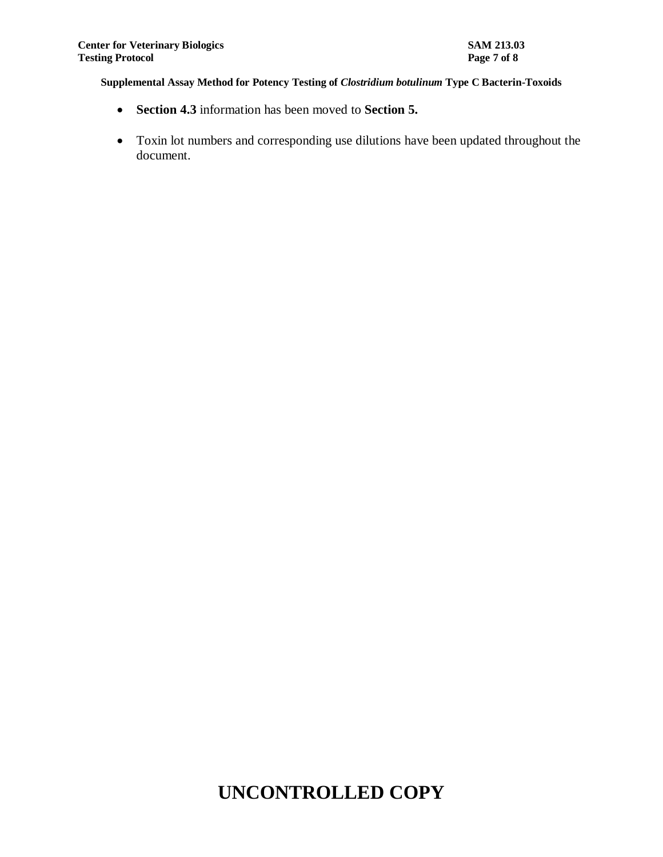- **Section 4.3** information has been moved to **Section 5.**
- Toxin lot numbers and corresponding use dilutions have been updated throughout the document.